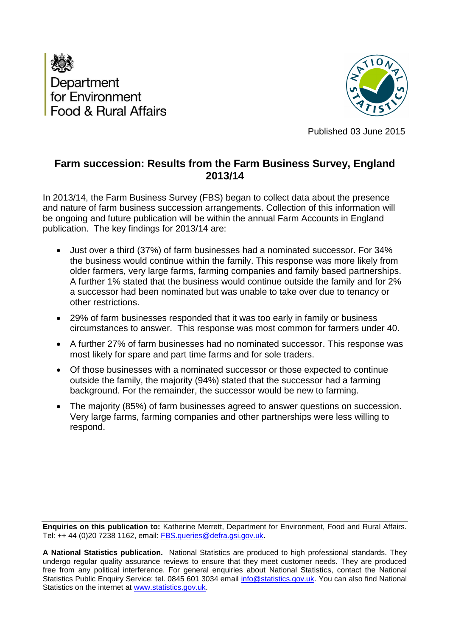



Published 03 June 2015

# **Farm succession: Results from the Farm Business Survey, England 2013/14**

In 2013/14, the Farm Business Survey (FBS) began to collect data about the presence and nature of farm business succession arrangements. Collection of this information will be ongoing and future publication will be within the annual Farm Accounts in England publication. The key findings for 2013/14 are:

- Just over a third (37%) of farm businesses had a nominated successor. For 34% the business would continue within the family. This response was more likely from older farmers, very large farms, farming companies and family based partnerships. A further 1% stated that the business would continue outside the family and for 2% a successor had been nominated but was unable to take over due to tenancy or other restrictions.
- 29% of farm businesses responded that it was too early in family or business circumstances to answer. This response was most common for farmers under 40.
- A further 27% of farm businesses had no nominated successor. This response was most likely for spare and part time farms and for sole traders.
- Of those businesses with a nominated successor or those expected to continue outside the family, the majority (94%) stated that the successor had a farming background. For the remainder, the successor would be new to farming.
- The majority (85%) of farm businesses agreed to answer questions on succession. Very large farms, farming companies and other partnerships were less willing to respond.

**Enquiries on this publication to:** Katherine Merrett, Department for Environment, Food and Rural Affairs. Tel: ++ 44 (0)20 7238 1162, email: [FBS.queries@defra.gsi.gov.uk.](mailto:FBS.queries@defra.gsi.gov.uk)

**A National Statistics publication.** National Statistics are produced to high professional standards. They undergo regular quality assurance reviews to ensure that they meet customer needs. They are produced free from any political interference. For general enquiries about National Statistics, contact the National Statistics Public Enquiry Service: tel. 0845 601 3034 email [info@statistics.gov.uk.](mailto:info@statistics.gov.uk) You can also find National Statistics on the internet at [www.statistics.gov.uk.](http://www.statistics.gov.uk/hub/index.html)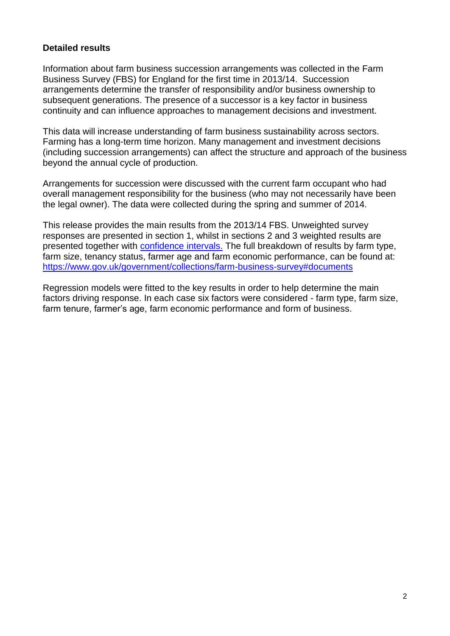### **Detailed results**

Information about farm business succession arrangements was collected in the Farm Business Survey (FBS) for England for the first time in 2013/14. Succession arrangements determine the transfer of responsibility and/or business ownership to subsequent generations. The presence of a successor is a key factor in business continuity and can influence approaches to management decisions and investment.

This data will increase understanding of farm business sustainability across sectors. Farming has a long-term time horizon. Many management and investment decisions (including succession arrangements) can affect the structure and approach of the business beyond the annual cycle of production.

Arrangements for succession were discussed with the current farm occupant who had overall management responsibility for the business (who may not necessarily have been the legal owner). The data were collected during the spring and summer of 2014.

This release provides the main results from the 2013/14 FBS. Unweighted survey responses are presented in section 1, whilst in sections 2 and 3 weighted results are presented together with [confidence intervals.](#page-8-0) The full breakdown of results by farm type, farm size, tenancy status, farmer age and farm economic performance, can be found at: <https://www.gov.uk/government/collections/farm-business-survey#documents>

Regression models were fitted to the key results in order to help determine the main factors driving response. In each case six factors were considered - farm type, farm size, farm tenure, farmer's age, farm economic performance and form of business.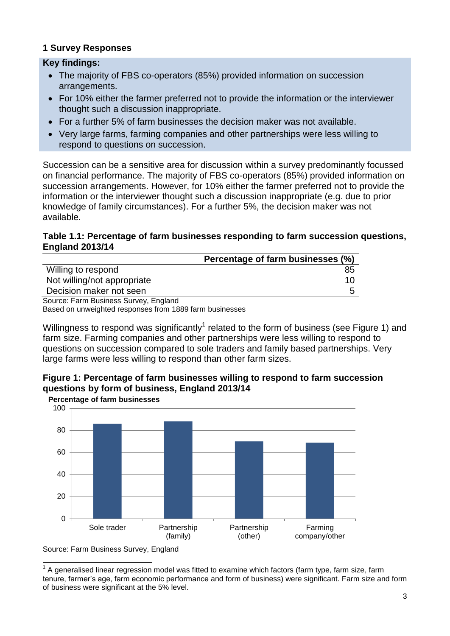### **1 Survey Responses**

#### **Key findings:**

- The majority of FBS co-operators (85%) provided information on succession arrangements.
- For 10% either the farmer preferred not to provide the information or the interviewer thought such a discussion inappropriate.
- For a further 5% of farm businesses the decision maker was not available.
- Very large farms, farming companies and other partnerships were less willing to respond to questions on succession.

Succession can be a sensitive area for discussion within a survey predominantly focussed on financial performance. The majority of FBS co-operators (85%) provided information on succession arrangements. However, for 10% either the farmer preferred not to provide the information or the interviewer thought such a discussion inappropriate (e.g. due to prior knowledge of family circumstances). For a further 5%, the decision maker was not available.

#### **Table 1.1: Percentage of farm businesses responding to farm succession questions, England 2013/14**

|                                       | Percentage of farm businesses (%) |
|---------------------------------------|-----------------------------------|
| Willing to respond                    | 85                                |
| Not willing/not appropriate           | 10                                |
| Decision maker not seen               |                                   |
| Source: Farm Business Survey, England |                                   |

Based on unweighted responses from 1889 farm businesses

Willingness to respond was significantly<sup>1</sup> related to the form of business (see Figure 1) and farm size. Farming companies and other partnerships were less willing to respond to questions on succession compared to sole traders and family based partnerships. Very large farms were less willing to respond than other farm sizes.



### **Figure 1: Percentage of farm businesses willing to respond to farm succession questions by form of business, England 2013/14**



Source: Farm Business Survey, England

 $\overline{\phantom{a}}$  $1$  A generalised linear regression model was fitted to examine which factors (farm type, farm size, farm tenure, farmer's age, farm economic performance and form of business) were significant. Farm size and form of business were significant at the 5% level.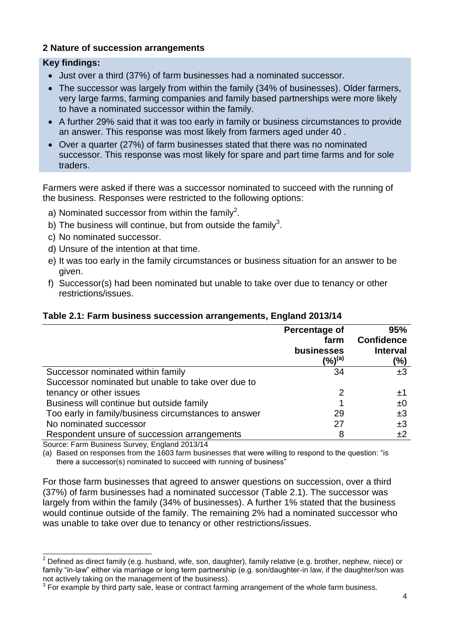## **2 Nature of succession arrangements**

#### **Key findings:**

- Just over a third (37%) of farm businesses had a nominated successor.
- The successor was largely from within the family (34% of businesses). Older farmers, very large farms, farming companies and family based partnerships were more likely to have a nominated successor within the family.
- A further 29% said that it was too early in family or business circumstances to provide an answer. This response was most likely from farmers aged under 40 .
- Over a quarter (27%) of farm businesses stated that there was no nominated successor. This response was most likely for spare and part time farms and for sole traders.

Farmers were asked if there was a successor nominated to succeed with the running of the business. Responses were restricted to the following options:

- a) Nominated successor from within the family<sup>2</sup>.
- b) The business will continue, but from outside the family<sup>3</sup>.
- c) No nominated successor.
- d) Unsure of the intention at that time.
- e) It was too early in the family circumstances or business situation for an answer to be given.
- f) Successor(s) had been nominated but unable to take over due to tenancy or other restrictions/issues.

### **Table 2.1: Farm business succession arrangements, England 2013/14**

|                                                      | Percentage of<br>farm<br>businesses<br>(%) <sup>(a)</sup> | 95%<br><b>Confidence</b><br><b>Interval</b><br>(%) |
|------------------------------------------------------|-----------------------------------------------------------|----------------------------------------------------|
| Successor nominated within family                    | 34                                                        | ±3                                                 |
| Successor nominated but unable to take over due to   |                                                           |                                                    |
| tenancy or other issues                              | 2                                                         | $\pm 1$                                            |
| Business will continue but outside family            |                                                           | ±0                                                 |
| Too early in family/business circumstances to answer | 29                                                        | ±3                                                 |
| No nominated successor                               | 27                                                        | ±3                                                 |
| Respondent unsure of succession arrangements         | 8                                                         | ±2                                                 |
| Course: Form Dusiness Currier, Frederick 0040/44     |                                                           |                                                    |

Source: Farm Business Survey, England 2013/14

-

(a) Based on responses from the 1603 farm businesses that were willing to respond to the question: "is there a successor(s) nominated to succeed with running of business"

For those farm businesses that agreed to answer questions on succession, over a third (37%) of farm businesses had a nominated successor (Table 2.1). The successor was largely from within the family (34% of businesses). A further 1% stated that the business would continue outside of the family. The remaining 2% had a nominated successor who was unable to take over due to tenancy or other restrictions/issues.

<sup>&</sup>lt;sup>2</sup> Defined as direct family (e.g. husband, wife, son, daughter), family relative (e.g. brother, nephew, niece) or family "in-law" either via marriage or long term partnership (e.g. son/daughter-in law, if the daughter/son was not actively taking on the management of the business).

 $3$  For example by third party sale, lease or contract farming arrangement of the whole farm business.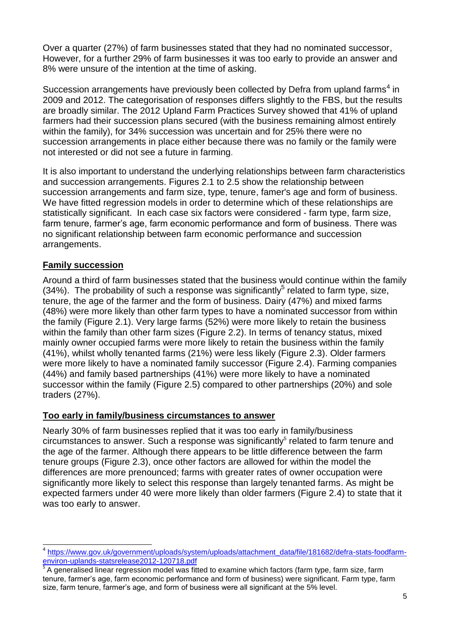Over a quarter (27%) of farm businesses stated that they had no nominated successor, However, for a further 29% of farm businesses it was too early to provide an answer and 8% were unsure of the intention at the time of asking.

Succession arrangements have previously been collected by Defra from upland farms<sup>4</sup> in 2009 and 2012. The categorisation of responses differs slightly to the FBS, but the results are broadly similar. The 2012 Upland Farm Practices Survey showed that 41% of upland farmers had their succession plans secured (with the business remaining almost entirely within the family), for 34% succession was uncertain and for 25% there were no succession arrangements in place either because there was no family or the family were not interested or did not see a future in farming.

It is also important to understand the underlying relationships between farm characteristics and succession arrangements. Figures 2.1 to 2.5 show the relationship between succession arrangements and farm size, type, tenure, famer's age and form of business. We have fitted regression models in order to determine which of these relationships are statistically significant. In each case six factors were considered - farm type, farm size, farm tenure, farmer's age, farm economic performance and form of business. There was no significant relationship between farm economic performance and succession arrangements.

## **Family succession**

<span id="page-4-0"></span>Around a third of farm businesses stated that the business would continue within the family  $(34%)$ . The probability of such a response was significantly<sup>5</sup> related to farm type, size, tenure, the age of the farmer and the form of business. Dairy (47%) and mixed farms (48%) were more likely than other farm types to have a nominated successor from within the family (Figure 2.1). Very large farms (52%) were more likely to retain the business within the family than other farm sizes (Figure 2.2). In terms of tenancy status, mixed mainly owner occupied farms were more likely to retain the business within the family (41%), whilst wholly tenanted farms (21%) were less likely (Figure 2.3). Older farmers were more likely to have a nominated family successor (Figure 2.4). Farming companies (44%) and family based partnerships (41%) were more likely to have a nominated successor within the family (Figure 2.5) compared to other partnerships (20%) and sole traders (27%).

## **Too early in family/business circumstances to answer**

Nearly 30% of farm businesses replied that it was too early in family/business  $circum$ stances to answer. Such a response was significantl[y](#page-4-0) $5$  related to farm tenure and the age of the farmer. Although there appears to be little difference between the farm tenure groups (Figure 2.3), once other factors are allowed for within the model the differences are more prenounced; farms with greater rates of owner occupation were significantly more likely to select this response than largely tenanted farms. As might be expected farmers under 40 were more likely than older farmers (Figure 2.4) to state that it was too early to answer.

 4 [https://www.gov.uk/government/uploads/system/uploads/attachment\\_data/file/181682/defra-stats-foodfarm](https://www.gov.uk/government/uploads/system/uploads/attachment_data/file/181682/defra-stats-foodfarm-environ-uplands-statsrelease2012-120718.pdf)[environ-uplands-statsrelease2012-120718.pdf](https://www.gov.uk/government/uploads/system/uploads/attachment_data/file/181682/defra-stats-foodfarm-environ-uplands-statsrelease2012-120718.pdf)

<sup>5</sup> A generalised linear regression model was fitted to examine which factors (farm type, farm size, farm tenure, farmer's age, farm economic performance and form of business) were significant. Farm type, farm size, farm tenure, farmer's age, and form of business were all significant at the 5% level.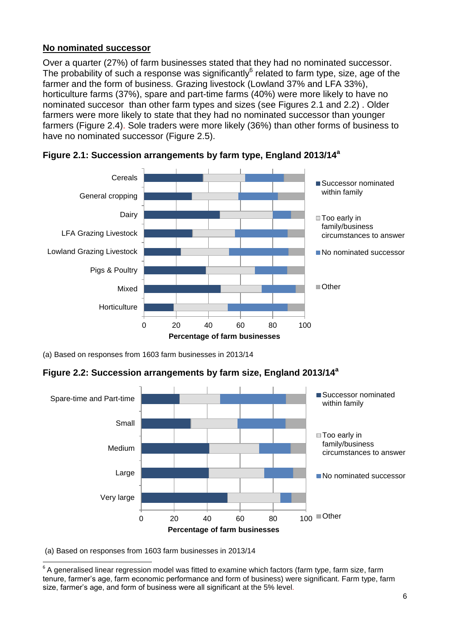### **No nominated successor**

Over a quarter (27%) of farm businesses stated that they had no nominated successor. The probability of such a response was significantly $^6$  related to farm type, size, age of the farmer and the form of business. Grazing livestock (Lowland 37% and LFA 33%), horticulture farms (37%), spare and part-time farms (40%) were more likely to have no nominated succesor than other farm types and sizes (see Figures 2.1 and 2.2) . Older farmers were more likely to state that they had no nominated successor than younger farmers (Figure 2.4). Sole traders were more likely (36%) than other forms of business to have no nominated successor (Figure 2.5).





(a) Based on responses from 1603 farm businesses in 2013/14

**Figure 2.2: Succession arrangements by farm size, England 2013/14 a**



(a) Based on responses from 1603 farm businesses in 2013/14

\_\_\_\_\_\_\_\_\_\_\_\_\_\_\_\_\_\_\_\_\_\_\_\_\_\_\_\_\_\_\_\_\_<br><sup>6</sup> A generalised linear regression model was fitted to examine which factors (farm type, farm size, farm tenure, farmer's age, farm economic performance and form of business) were significant. Farm type, farm size, farmer's age, and form of business were all significant at the 5% level.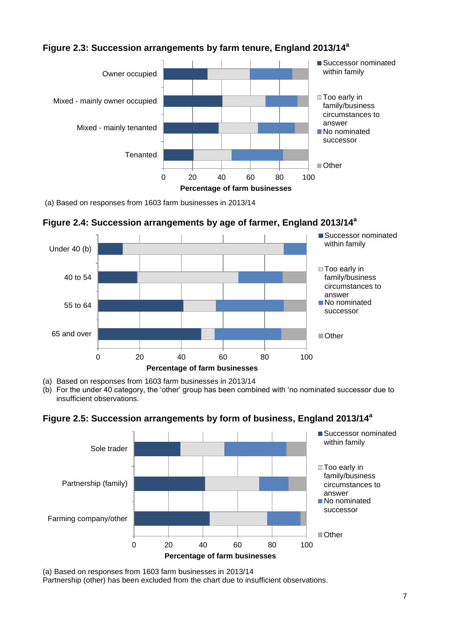

# **Figure 2.3: Succession arrangements by farm tenure, England 2013/14 a**

(a) Based on responses from 1603 farm businesses in 2013/14

**Figure 2.4: Succession arrangements by age of farmer, England 2013/14 a**



(a) Based on responses from 1603 farm businesses in 2013/14

(b) For the under 40 category, the 'other' group has been combined with 'no nominated successor due to insufficient observations.

## **Figure 2.5: Succession arrangements by form of business, England 2013/14 a**



(a) Based on responses from 1603 farm businesses in 2013/14

Partnership (other) has been excluded from the chart due to insufficient observations.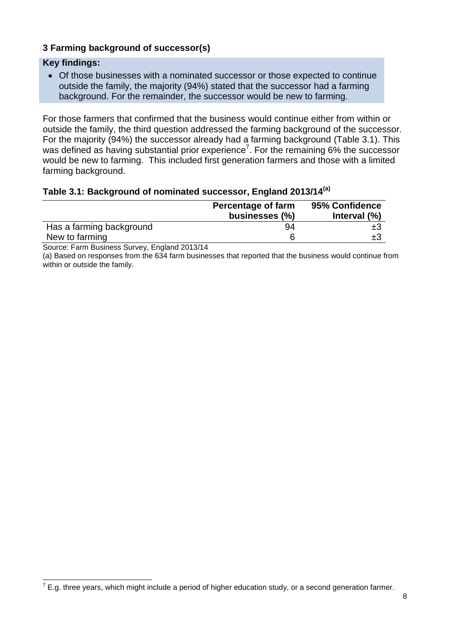## **3 Farming background of successor(s)**

#### **Key findings:**

 Of those businesses with a nominated successor or those expected to continue outside the family, the majority (94%) stated that the successor had a farming background. For the remainder, the successor would be new to farming.

For those farmers that confirmed that the business would continue either from within or outside the family, the third question addressed the farming background of the successor. For the majority (94%) the successor already had a farming background (Table 3.1). This was defined as having substantial prior experience<sup>7</sup>. For the remaining 6% the successor would be new to farming. This included first generation farmers and those with a limited farming background.

#### **Table 3.1: Background of nominated successor, England 2013/14(a)**

|                          | Percentage of farm<br>businesses (%) | 95% Confidence<br>Interval $(\%)$ |
|--------------------------|--------------------------------------|-----------------------------------|
| Has a farming background | 94                                   | ±З                                |
| New to farming           |                                      | ±З                                |

Source: Farm Business Survey, England 2013/14

(a) Based on responses from the 634 farm businesses that reported that the business would continue from within or outside the family.

 7 E.g. three years, which might include a period of higher education study, or a second generation farmer.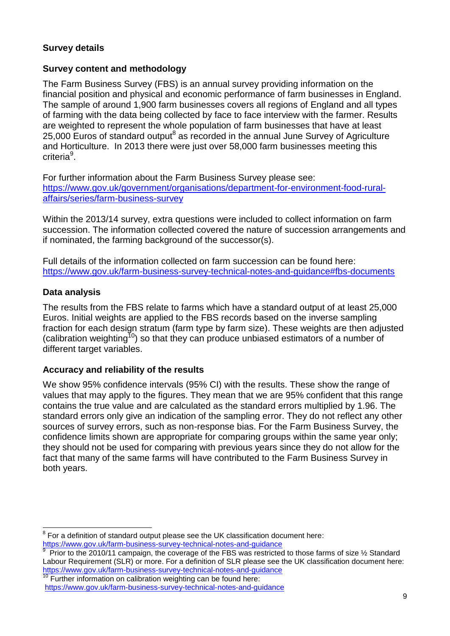## **Survey details**

### **Survey content and methodology**

The Farm Business Survey (FBS) is an annual survey providing information on the financial position and physical and economic performance of farm businesses in England. The sample of around 1,900 farm businesses covers all regions of England and all types of farming with the data being collected by face to face interview with the farmer. Results are weighted to represent the whole population of farm businesses that have at least 25,000 Euros of standard output $^8$  as recorded in the annual June Survey of Agriculture and Horticulture. In 2013 there were just over 58,000 farm businesses meeting this criteria<sup>9</sup>.

For further information about the Farm Business Survey please see: [https://www.gov.uk/government/organisations/department-for-environment-food-rural](https://www.gov.uk/government/organisations/department-for-environment-food-rural-affairs/series/farm-business-survey)[affairs/series/farm-business-survey](https://www.gov.uk/government/organisations/department-for-environment-food-rural-affairs/series/farm-business-survey)

Within the 2013/14 survey, extra questions were included to collect information on farm succession. The information collected covered the nature of succession arrangements and if nominated, the farming background of the successor(s).

Full details of the information collected on farm succession can be found here: <https://www.gov.uk/farm-business-survey-technical-notes-and-guidance#fbs-documents>

### **Data analysis**

The results from the FBS relate to farms which have a standard output of at least 25,000 Euros. Initial weights are applied to the FBS records based on the inverse sampling fraction for each design stratum (farm type by farm size). These weights are then adjusted (calibration weighting<sup>10</sup>) so that they can produce unbiased estimators of a number of different target variables.

## <span id="page-8-0"></span>**Accuracy and reliability of the results**

We show 95% confidence intervals (95% CI) with the results. These show the range of values that may apply to the figures. They mean that we are 95% confident that this range contains the true value and are calculated as the standard errors multiplied by 1.96. The standard errors only give an indication of the sampling error. They do not reflect any other sources of survey errors, such as non-response bias. For the Farm Business Survey, the confidence limits shown are appropriate for comparing groups within the same year only; they should not be used for comparing with previous years since they do not allow for the fact that many of the same farms will have contributed to the Farm Business Survey in both years.

 8 For a definition of standard output please see the UK classification document here: <https://www.gov.uk/farm-business-survey-technical-notes-and-guidance>

<sup>9</sup> Prior to the 2010/11 campaign, the coverage of the FBS was restricted to those farms of size 1/2 Standard Labour Requirement (SLR) or more. For a definition of SLR please see the UK classification document here: <https://www.gov.uk/farm-business-survey-technical-notes-and-guidance>

Further information on calibration weighting can be found here: <https://www.gov.uk/farm-business-survey-technical-notes-and-guidance>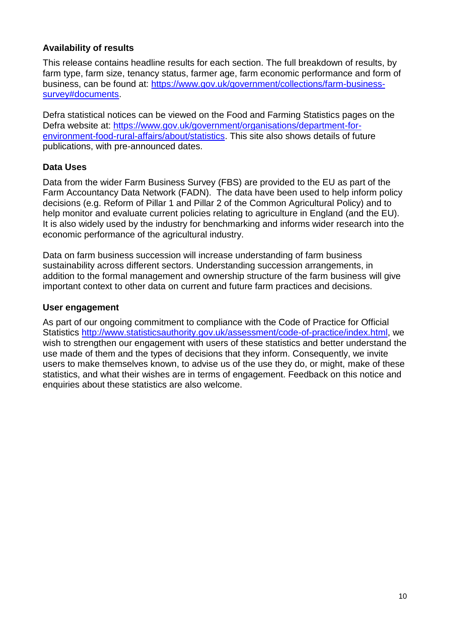## **Availability of results**

This release contains headline results for each section. The full breakdown of results, by farm type, farm size, tenancy status, farmer age, farm economic performance and form of business, can be found at: [https://www.gov.uk/government/collections/farm-business](https://www.gov.uk/government/collections/farm-business-survey#documents)[survey#documents.](https://www.gov.uk/government/collections/farm-business-survey#documents)

Defra statistical notices can be viewed on the Food and Farming Statistics pages on the Defra website at: [https://www.gov.uk/government/organisations/department-for](https://www.gov.uk/government/organisations/department-for-environment-food-rural-affairs/about/statistics)[environment-food-rural-affairs/about/statistics.](https://www.gov.uk/government/organisations/department-for-environment-food-rural-affairs/about/statistics) This site also shows details of future publications, with pre-announced dates.

## **Data Uses**

Data from the wider Farm Business Survey (FBS) are provided to the EU as part of the Farm Accountancy Data Network (FADN). The data have been used to help inform policy decisions (e.g. Reform of Pillar 1 and Pillar 2 of the Common Agricultural Policy) and to help monitor and evaluate current policies relating to agriculture in England (and the EU). It is also widely used by the industry for benchmarking and informs wider research into the economic performance of the agricultural industry.

Data on farm business succession will increase understanding of farm business sustainability across different sectors. Understanding succession arrangements, in addition to the formal management and ownership structure of the farm business will give important context to other data on current and future farm practices and decisions.

## **User engagement**

As part of our ongoing commitment to compliance with the Code of Practice for Official Statistics [http://www.statisticsauthority.gov.uk/assessment/code-of-practice/index.html,](http://www.statisticsauthority.gov.uk/assessment/code-of-practice/index.html) we wish to strengthen our engagement with users of these statistics and better understand the use made of them and the types of decisions that they inform. Consequently, we invite users to make themselves known, to advise us of the use they do, or might, make of these statistics, and what their wishes are in terms of engagement. Feedback on this notice and enquiries about these statistics are also welcome.